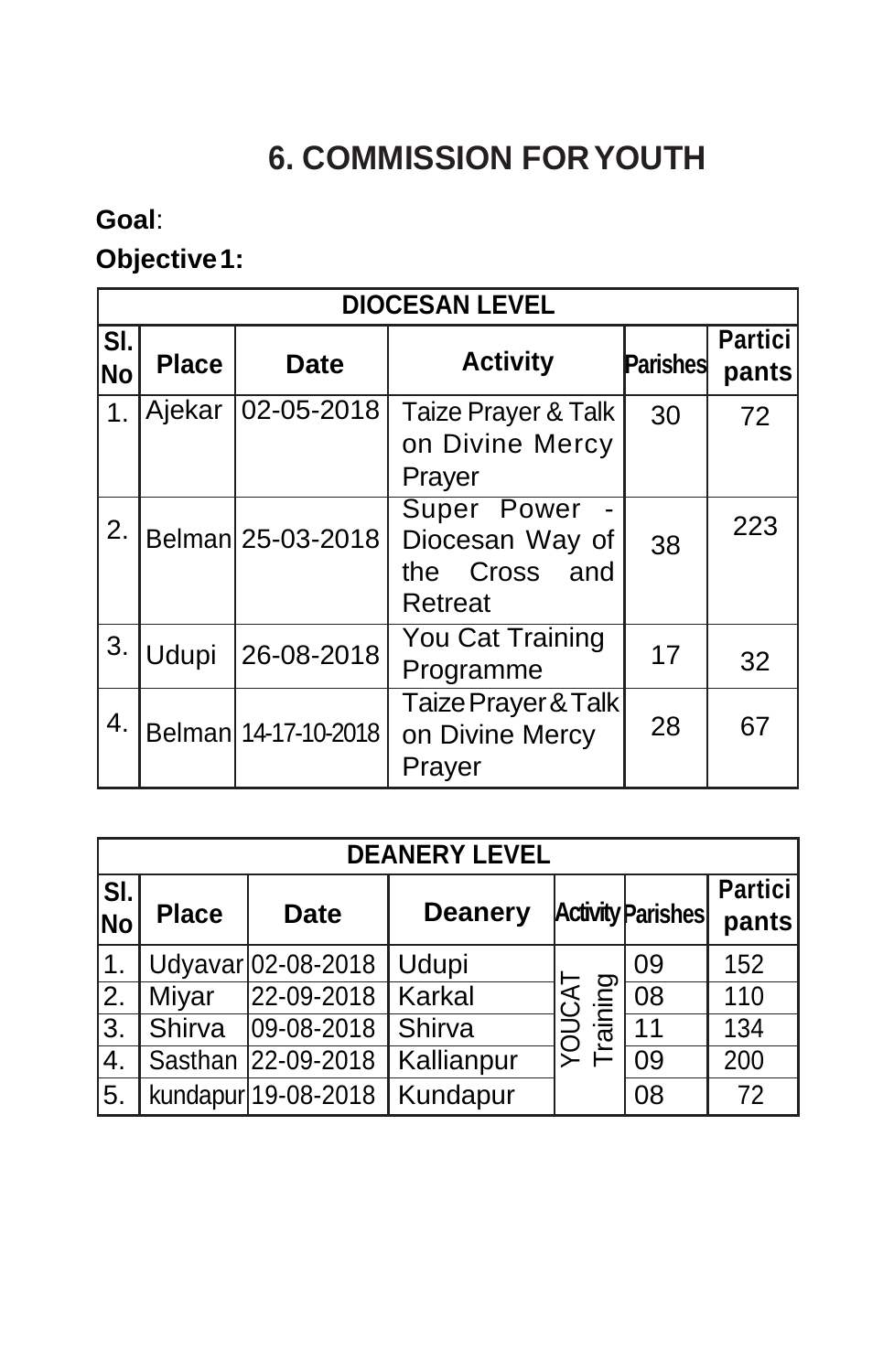# **6. COMMISSION FORYOUTH**

## **Goal**:

# **Objective1:**

|               | <b>DIOCESAN LEVEL</b> |                      |                                                                |                 |                         |  |
|---------------|-----------------------|----------------------|----------------------------------------------------------------|-----------------|-------------------------|--|
| SI.<br>No     | <b>Place</b>          | <b>Date</b>          | <b>Activity</b>                                                | <b>Parishes</b> | <b>Partici</b><br>pants |  |
| $\mathbf 1$ . | Ajekar                | 02-05-2018           | Taize Prayer & Talk<br>on Divine Mercy<br>Prayer               | 30              | 72                      |  |
| 2.            |                       | Belman 25-03-2018    | Super Power<br>Diocesan Way of<br>Cross and<br>the.<br>Retreat | 38              | 223                     |  |
| 3.            | Udupi                 | 26-08-2018           | You Cat Training<br>Programme                                  | 17              | 32                      |  |
| 4.            |                       | Belman 14-17-10-2018 | Taize Prayer & Talk<br>on Divine Mercy<br>Prayer               | 28              | 67                      |  |

|            | <b>DEANERY LEVEL</b> |                     |                |         |                          |                         |  |  |
|------------|----------------------|---------------------|----------------|---------|--------------------------|-------------------------|--|--|
| SI.<br> No | <b>Place</b>         | <b>Date</b>         | <b>Deanery</b> |         | <b>Activity Parishes</b> | <b>Partici</b><br>pants |  |  |
| ∣1.        |                      | Udyavar 02-08-2018  | Udupi          |         | 09                       | 152                     |  |  |
| I2.        | Miyar                | 22-09-2018          | <b>Karkal</b>  | raining | $\overline{08}$          | 110                     |  |  |
| 3.         | Shirva               | 09-08-2018          | Shirva         | DOX     | 11                       | 134                     |  |  |
| 4.         |                      | Sasthan 22-09-2018  | Kallianpur     |         | 09                       | 200                     |  |  |
| 55.        |                      | kundapur 19-08-2018 | Kundapur       |         | 08                       | 72                      |  |  |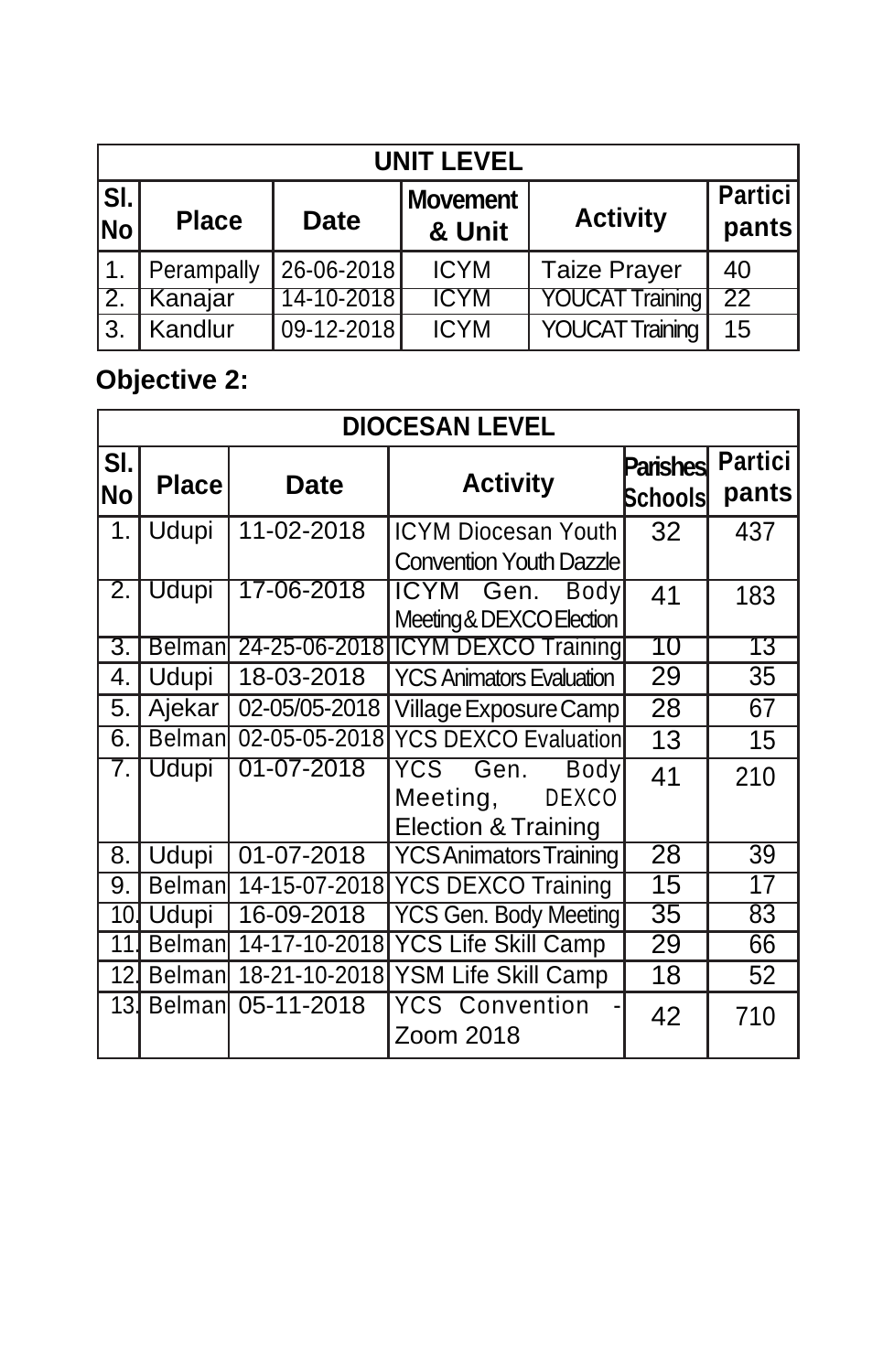|                  | <b>UNIT LEVEL</b> |             |                           |                        |                         |  |  |  |
|------------------|-------------------|-------------|---------------------------|------------------------|-------------------------|--|--|--|
| SI.<br><b>No</b> | <b>Place</b>      | <b>Date</b> | <b>Movement</b><br>& Unit | <b>Activity</b>        | <b>Partici</b><br>pants |  |  |  |
|                  | Perampally        | 26-06-2018  | <b>ICYM</b>               | <b>Taize Prayer</b>    | 40                      |  |  |  |
| 12.              | Kanajar           | 14-10-2018  | <b>ICYM</b>               | <b>YOUCAT Training</b> | 22                      |  |  |  |
| ΙЗ.              | Kandlur           | 09-12-2018  | <b>ICYM</b>               | <b>YOUCAT Training</b> | 15                      |  |  |  |

## **Objective 2:**

|                  | <b>DIOCESAN LEVEL</b> |               |                                                                                          |                            |                         |  |
|------------------|-----------------------|---------------|------------------------------------------------------------------------------------------|----------------------------|-------------------------|--|
| SI.<br><b>No</b> | <b>Place</b>          | <b>Date</b>   | <b>Activity</b>                                                                          | <b>Parishes</b><br>Schools | <b>Partici</b><br>pants |  |
| 1.               | Udupi                 | 11-02-2018    | <b>ICYM Diocesan Youth</b><br><b>Convention Youth Dazzle</b>                             | 32                         | 437                     |  |
| 2.               | Udupi                 | 17-06-2018    | ICYM Gen.<br><b>Body</b><br>Meeting & DEXCO Election                                     | 41                         | 183                     |  |
| 3.               | <b>Belman</b>         |               | 24-25-06-2018 CYM DEXCO Training                                                         | 10                         | 73                      |  |
| 4.               | Udupi                 | 18-03-2018    | <b>YCS Animators Evaluation</b>                                                          | 29                         | 35                      |  |
| 5.               | Ajekar                | 02-05/05-2018 | Village Exposure Camp                                                                    | 28                         | 67                      |  |
| 6.               | <b>Belman</b>         | 02-05-05-2018 | <b>YCS DEXCO Evaluation</b>                                                              | 13                         | 15                      |  |
| 7.               | Udupi                 | 01-07-2018    | Gen.<br>YCS<br><b>Body</b><br><b>DEXCO</b><br>Meeting,<br><b>Election &amp; Training</b> | 41                         | 210                     |  |
| 8.               | Udupi                 | 01-07-2018    | <b>YCS Animators Training</b>                                                            | $\overline{28}$            | $\overline{39}$         |  |
| 9.               | <b>Belman</b>         | 14-15-07-2018 | <b>YCS DEXCO Training</b>                                                                | 15                         | 17                      |  |
| 10.              | Udupi                 | 16-09-2018    | <b>YCS Gen. Body Meeting</b>                                                             | 35                         | 83                      |  |
| 11               | <b>Belman</b>         | 14-17-10-2018 | <b>YCS Life Skill Camp</b>                                                               | 29                         | 66                      |  |
| 12.              | <b>Belman</b>         | 18-21-10-2018 | <b>YSM Life Skill Camp</b>                                                               | 18                         | 52                      |  |
| 13 <sub>l</sub>  | <b>Belman</b>         | 05-11-2018    | <b>YCS Convention</b><br>Zoom 2018                                                       | 42                         | 710                     |  |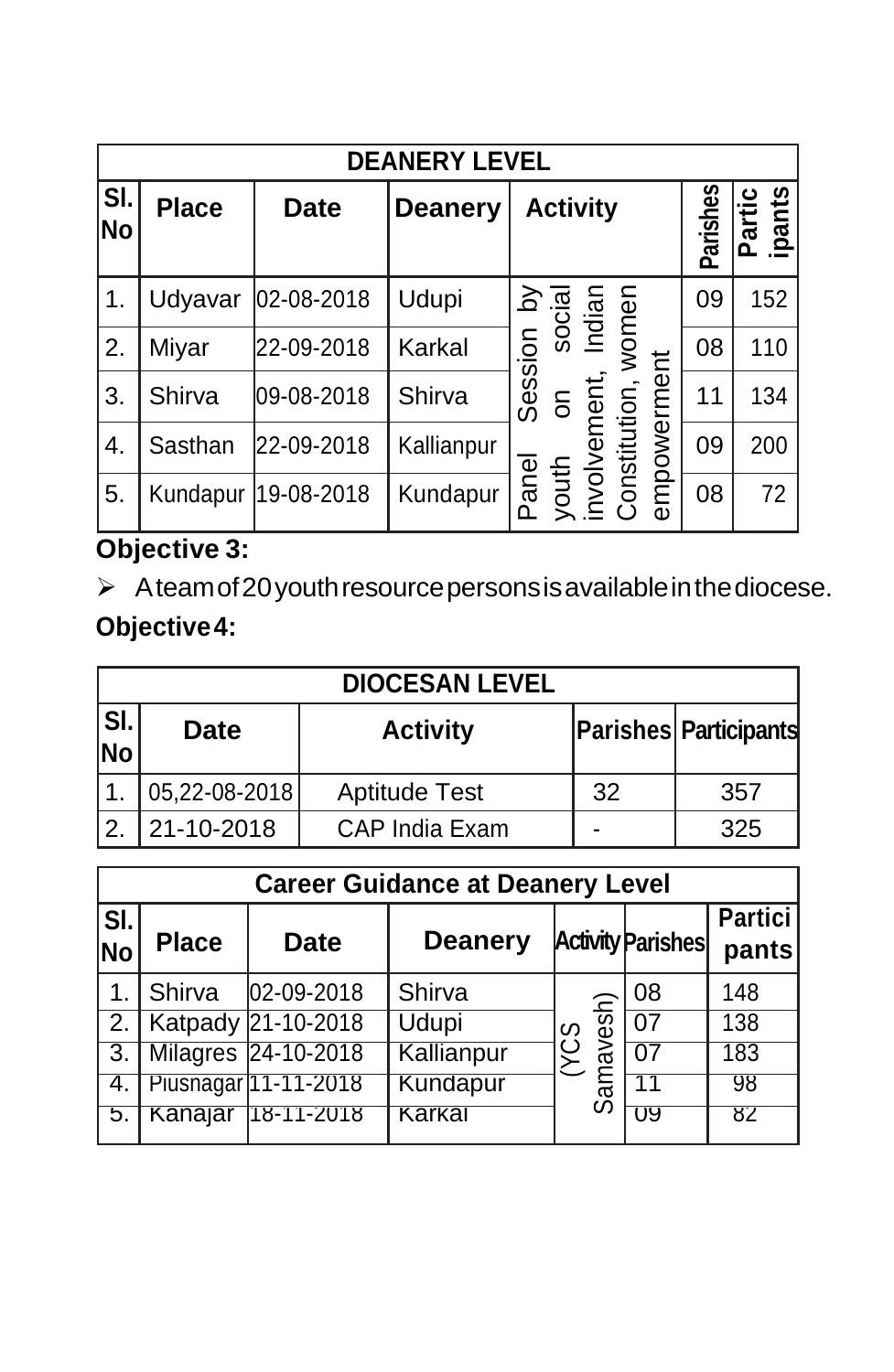|           | <b>DEANERY LEVEL</b> |             |                |                                                           |          |                      |  |  |
|-----------|----------------------|-------------|----------------|-----------------------------------------------------------|----------|----------------------|--|--|
| SI.<br>No | <b>Place</b>         | <b>Date</b> | <b>Deanery</b> | <b>Activity</b>                                           | Parishes | ipants<br>artic<br>ے |  |  |
| 1.        | Udyavar              | 02-08-2018  | Udupi          | sion by<br>social<br>Momen<br>women                       | 09       | 152                  |  |  |
| 2.        | Miyar                | 22-09-2018  | Karkal         |                                                           | 08       | 110                  |  |  |
| 3.        | Shirva               | 09-08-2018  | Shirva         | Session<br>mpowerment                                     | 11       | 134                  |  |  |
| 4.        | Sasthan              | 22-09-2018  | Kallianpur     |                                                           | 09       | 200                  |  |  |
| 5.        | Kundapur             | 19-08-2018  | Kundapur       | youth on<br>involvement,<br>Constitution, v<br>Panel<br>ወ | 08       | 72                   |  |  |

### **Objective 3:**

 $\triangleright$  Ateam of 20 youth resource persons is available in the diocese. **Objective4:**

|                  |               | <b>DIOCESAN LEVEL</b> |    |                              |
|------------------|---------------|-----------------------|----|------------------------------|
| SI.<br><b>No</b> | <b>Date</b>   | <b>Activity</b>       |    | <b>Parishes Participants</b> |
|                  | 05,22-08-2018 | <b>Aptitude Test</b>  | 32 | 357                          |
| 12               | 21-10-2018    | CAP India Exam        |    | 325                          |

|               | <b>Career Guidance at Deanery Level</b> |                         |                |                   |                          |                         |  |
|---------------|-----------------------------------------|-------------------------|----------------|-------------------|--------------------------|-------------------------|--|
| SI.<br> No    | <b>Place</b>                            | <b>Date</b>             | <b>Deanery</b> |                   | <b>Activity Parishes</b> | <b>Partici</b><br>pants |  |
| $\mathbf 1$ . | Shirva                                  | 02-09-2018              | Shirva         |                   | 08                       | 148                     |  |
|               |                                         | 2.   Katpady 21-10-2018 | <b>Udupi</b>   | w                 | 07                       | 138                     |  |
|               |                                         | 3. Milagres 24-10-2018  | Kallianpur     | mavesh)<br>ن<br>ڪ | 07                       | 183                     |  |
| 4.            |                                         | Piusnagar 11-11-2018    | Kundapur       | ్లే               |                          | 98                      |  |
|               | Kanajar                                 | 18-11-2018              | Karkal         |                   | U9                       | 82                      |  |